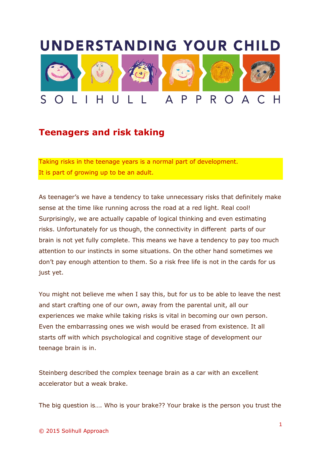## **UNDERSTANDING YOUR CHILD**



## **Teenagers and risk taking**

Taking risks in the teenage years is a normal part of development. It is part of growing up to be an adult.

As teenager's we have a tendency to take unnecessary risks that definitely make sense at the time like running across the road at a red light. Real cool! Surprisingly, we are actually capable of logical thinking and even estimating risks. Unfortunately for us though, the connectivity in different parts of our brain is not yet fully complete. This means we have a tendency to pay too much attention to our instincts in some situations. On the other hand sometimes we don't pay enough attention to them. So a risk free life is not in the cards for us just yet.

You might not believe me when I say this, but for us to be able to leave the nest and start crafting one of our own, away from the parental unit, all our experiences we make while taking risks is vital in becoming our own person. Even the embarrassing ones we wish would be erased from existence. It all starts off with which psychological and cognitive stage of development our teenage brain is in.

Steinberg described the complex teenage brain as a car with an excellent accelerator but a weak brake.

The big question is…. Who is your brake?? Your brake is the person you trust the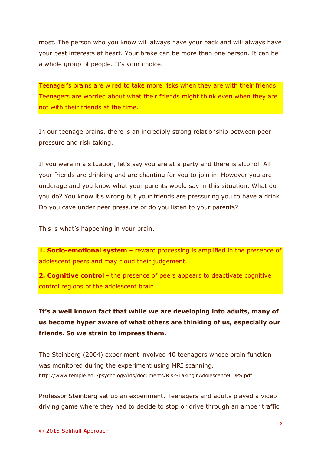most. The person who you know will always have your back and will always have your best interests at heart. Your brake can be more than one person. It can be a whole group of people. It's your choice.

Teenager's brains are wired to take more risks when they are with their friends. Teenagers are worried about what their friends might think even when they are not with their friends at the time.

In our teenage brains, there is an incredibly strong relationship between peer pressure and risk taking.

If you were in a situation, let's say you are at a party and there is alcohol. All your friends are drinking and are chanting for you to join in. However you are underage and you know what your parents would say in this situation. What do you do? You know it's wrong but your friends are pressuring you to have a drink. Do you cave under peer pressure or do you listen to your parents?

This is what's happening in your brain.

**1. Socio-emotional system** – reward processing is amplified in the presence of adolescent peers and may cloud their judgement.

**2. Cognitive control -** the presence of peers appears to deactivate cognitive control regions of the adolescent brain.

**It's a well known fact that while we are developing into adults, many of us become hyper aware of what others are thinking of us, especially our friends. So we strain to impress them.** 

The Steinberg (2004) experiment involved 40 teenagers whose brain function was monitored during the experiment using MRI scanning. http://www.temple.edu/psychology/lds/documents/Risk-TakinginAdolescenceCDPS.pdf

Professor Steinberg set up an experiment. Teenagers and adults played a video driving game where they had to decide to stop or drive through an amber traffic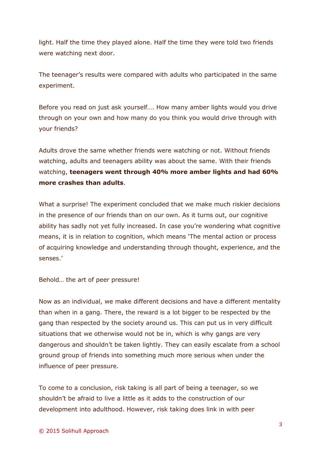light. Half the time they played alone. Half the time they were told two friends were watching next door.

The teenager's results were compared with adults who participated in the same experiment.

Before you read on just ask yourself…. How many amber lights would you drive through on your own and how many do you think you would drive through with your friends?

Adults drove the same whether friends were watching or not. Without friends watching, adults and teenagers ability was about the same. With their friends watching, **teenagers went through 40% more amber lights and had 60% more crashes than adults**.

What a surprise! The experiment concluded that we make much riskier decisions in the presence of our friends than on our own. As it turns out, our cognitive ability has sadly not yet fully increased. In case you're wondering what cognitive means, it is in relation to cognition, which means 'The mental action or process of acquiring knowledge and understanding through thought, experience, and the senses.'

Behold… the art of peer pressure!

Now as an individual, we make different decisions and have a different mentality than when in a gang. There, the reward is a lot bigger to be respected by the gang than respected by the society around us. This can put us in very difficult situations that we otherwise would not be in, which is why gangs are very dangerous and shouldn't be taken lightly. They can easily escalate from a school ground group of friends into something much more serious when under the influence of peer pressure.

To come to a conclusion, risk taking is all part of being a teenager, so we shouldn't be afraid to live a little as it adds to the construction of our development into adulthood. However, risk taking does link in with peer